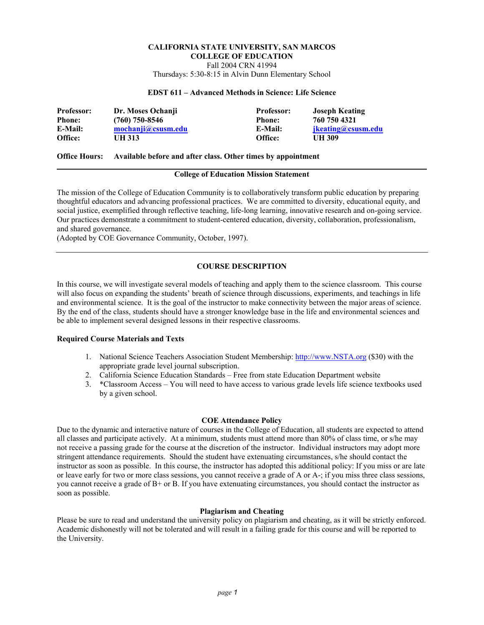# **CALIFORNIA STATE UNIVERSITY, SAN MARCOS COLLEGE OF EDUCATION**  Fall 2004 CRN 41994

Thursdays: 5:30-8:15 in Alvin Dunn Elementary School

### **EDST 611 – Advanced Methods in Science: Life Science**

| <b>Professor:</b> | Dr. Moses Ochanii  | <b>Professor:</b> | <b>Joseph Keating</b>     |
|-------------------|--------------------|-------------------|---------------------------|
| <b>Phone:</b>     | $(760)$ 750-8546   | <b>Phone:</b>     | 760 750 4321              |
| E-Mail:           | mochanji@csusm.edu | E-Mail:           | <i>ikeating@csusm.edu</i> |
| Office:           | <b>UH 313</b>      | Office:           | UH 309                    |

#### **Office Hours: Available before and after class. Other times by appointment**

#### **College of Education Mission Statement**

The mission of the College of Education Community is to collaboratively transform public education by preparing thoughtful educators and advancing professional practices. We are committed to diversity, educational equity, and social justice, exemplified through reflective teaching, life-long learning, innovative research and on-going service. Our practices demonstrate a commitment to student-centered education, diversity, collaboration, professionalism, and shared governance.

(Adopted by COE Governance Community, October, 1997).

# **COURSE DESCRIPTION**

In this course, we will investigate several models of teaching and apply them to the science classroom. This course will also focus on expanding the students' breath of science through discussions, experiments, and teachings in life and environmental science. It is the goal of the instructor to make connectivity between the major areas of science. By the end of the class, students should have a stronger knowledge base in the life and environmental sciences and be able to implement several designed lessons in their respective classrooms.

### **Required Course Materials and Texts**

- 1. National Science Teachers Association Student Membership: http://www.NSTA.org (\$30) with the appropriate grade level journal subscription.
- 2. California Science Education Standards Free from state Education Department website
- 3. \*Classroom Access You will need to have access to various grade levels life science textbooks used by a given school.

# **COE Attendance Policy**

Due to the dynamic and interactive nature of courses in the College of Education, all students are expected to attend all classes and participate actively. At a minimum, students must attend more than 80% of class time, or s/he may not receive a passing grade for the course at the discretion of the instructor. Individual instructors may adopt more stringent attendance requirements. Should the student have extenuating circumstances, s/he should contact the instructor as soon as possible. In this course, the instructor has adopted this additional policy: If you miss or are late or leave early for two or more class sessions, you cannot receive a grade of A or A-; if you miss three class sessions, you cannot receive a grade of B+ or B. If you have extenuating circumstances, you should contact the instructor as soon as possible.

#### **Plagiarism and Cheating**

Please be sure to read and understand the university policy on plagiarism and cheating, as it will be strictly enforced. Academic dishonestly will not be tolerated and will result in a failing grade for this course and will be reported to the University.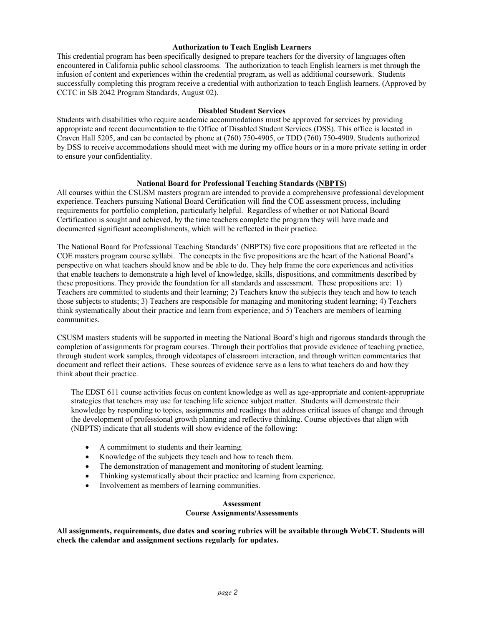#### **Authorization to Teach English Learners**

This credential program has been specifically designed to prepare teachers for the diversity of languages often encountered in California public school classrooms. The authorization to teach English learners is met through the infusion of content and experiences within the credential program, as well as additional coursework. Students successfully completing this program receive a credential with authorization to teach English learners. (Approved by CCTC in SB 2042 Program Standards, August 02).

### **Disabled Student Services**

Students with disabilities who require academic accommodations must be approved for services by providing appropriate and recent documentation to the Office of Disabled Student Services (DSS). This office is located in Craven Hall 5205, and can be contacted by phone at (760) 750-4905, or TDD (760) 750-4909. Students authorized by DSS to receive accommodations should meet with me during my office hours or in a more private setting in order to ensure your confidentiality.

### **National Board for Professional Teaching Standards (NBPTS)**

All courses within the CSUSM masters program are intended to provide a comprehensive professional development experience. Teachers pursuing National Board Certification will find the COE assessment process, including requirements for portfolio completion, particularly helpful. Regardless of whether or not National Board Certification is sought and achieved, by the time teachers complete the program they will have made and documented significant accomplishments, which will be reflected in their practice.

The National Board for Professional Teaching Standards' (NBPTS) five core propositions that are reflected in the COE masters program course syllabi. The concepts in the five propositions are the heart of the National Board's perspective on what teachers should know and be able to do. They help frame the core experiences and activities that enable teachers to demonstrate a high level of knowledge, skills, dispositions, and commitments described by these propositions. They provide the foundation for all standards and assessment. These propositions are: 1) Teachers are committed to students and their learning; 2) Teachers know the subjects they teach and how to teach those subjects to students; 3) Teachers are responsible for managing and monitoring student learning; 4) Teachers think systematically about their practice and learn from experience; and 5) Teachers are members of learning communities.

CSUSM masters students will be supported in meeting the National Board's high and rigorous standards through the completion of assignments for program courses. Through their portfolios that provide evidence of teaching practice, through student work samples, through videotapes of classroom interaction, and through written commentaries that document and reflect their actions. These sources of evidence serve as a lens to what teachers do and how they think about their practice.

The EDST 611 course activities focus on content knowledge as well as age-appropriate and content-appropriate strategies that teachers may use for teaching life science subject matter. Students will demonstrate their knowledge by responding to topics, assignments and readings that address critical issues of change and through the development of professional growth planning and reflective thinking. Course objectives that align with (NBPTS) indicate that all students will show evidence of the following:

- A commitment to students and their learning.
- Knowledge of the subjects they teach and how to teach them.
- The demonstration of management and monitoring of student learning.
- Thinking systematically about their practice and learning from experience.
- Involvement as members of learning communities.

#### **Assessment Course Assignments/Assessments**

**All assignments, requirements, due dates and scoring rubrics will be available through WebCT. Students will check the calendar and assignment sections regularly for updates.**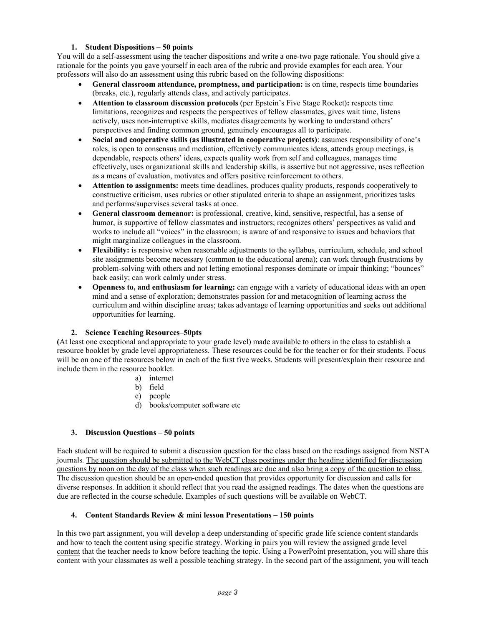# **1. Student Dispositions – 50 points**

You will do a self-assessment using the teacher dispositions and write a one-two page rationale. You should give a rationale for the points you gave yourself in each area of the rubric and provide examples for each area. Your professors will also do an assessment using this rubric based on the following dispositions:

- **General classroom attendance, promptness, and participation:** is on time, respects time boundaries (breaks, etc.), regularly attends class, and actively participates.
- **Attention to classroom discussion protocols** (per Epstein's Five Stage Rocket)**:** respects time limitations, recognizes and respects the perspectives of fellow classmates, gives wait time, listens actively, uses non-interruptive skills, mediates disagreements by working to understand others' perspectives and finding common ground, genuinely encourages all to participate.
- **Social and cooperative skills (as illustrated in cooperative projects)**: assumes responsibility of one's roles, is open to consensus and mediation, effectively communicates ideas, attends group meetings, is dependable, respects others' ideas, expects quality work from self and colleagues, manages time effectively, uses organizational skills and leadership skills, is assertive but not aggressive, uses reflection as a means of evaluation, motivates and offers positive reinforcement to others.
- **Attention to assignments:** meets time deadlines, produces quality products, responds cooperatively to constructive criticism, uses rubrics or other stipulated criteria to shape an assignment, prioritizes tasks and performs/supervises several tasks at once.
- **General classroom demeanor:** is professional, creative, kind, sensitive, respectful, has a sense of humor, is supportive of fellow classmates and instructors; recognizes others' perspectives as valid and works to include all "voices" in the classroom; is aware of and responsive to issues and behaviors that might marginalize colleagues in the classroom.
- **Flexibility:** is responsive when reasonable adjustments to the syllabus, curriculum, schedule, and school site assignments become necessary (common to the educational arena); can work through frustrations by problem-solving with others and not letting emotional responses dominate or impair thinking; "bounces" back easily; can work calmly under stress.
- **Openness to, and enthusiasm for learning:** can engage with a variety of educational ideas with an open mind and a sense of exploration; demonstrates passion for and metacognition of learning across the curriculum and within discipline areas; takes advantage of learning opportunities and seeks out additional opportunities for learning.

# **2. Science Teaching Resources–50pts**

**(**At least one exceptional and appropriate to your grade level) made available to others in the class to establish a resource booklet by grade level appropriateness. These resources could be for the teacher or for their students. Focus will be on one of the resources below in each of the first five weeks. Students will present/explain their resource and include them in the resource booklet.

- a) internet
- b) field
- c) people
- d) books/computer software etc

# **3. Discussion Questions – 50 points**

Each student will be required to submit a discussion question for the class based on the readings assigned from NSTA journals*.* The question should be submitted to the WebCT class postings under the heading identified for discussion questions by noon on the day of the class when such readings are due and also bring a copy of the question to class. The discussion question should be an open-ended question that provides opportunity for discussion and calls for diverse responses. In addition it should reflect that you read the assigned readings. The dates when the questions are due are reflected in the course schedule. Examples of such questions will be available on WebCT.

# **4. Content Standards Review & mini lesson Presentations – 150 points**

In this two part assignment, you will develop a deep understanding of specific grade life science content standards and how to teach the content using specific strategy. Working in pairs you will review the assigned grade level content that the teacher needs to know before teaching the topic. Using a PowerPoint presentation, you will share this content with your classmates as well a possible teaching strategy. In the second part of the assignment, you will teach